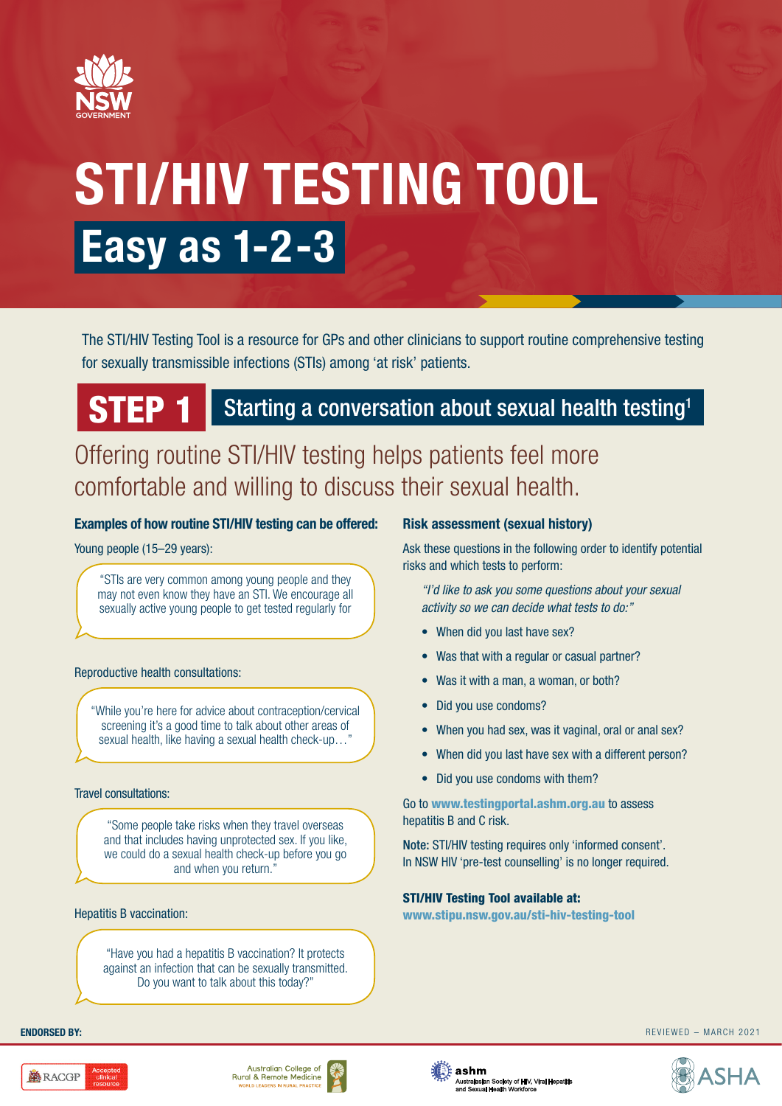

# **STI/HIV TESTING TOOL Easy as 1-2-3**

The STI/HIV Testing Tool is a resource for GPs and other clinicians to support routine comprehensive testing for sexually transmissible infections (STIs) among 'at risk' patients.

## STEP 1 Starting a conversation about sexual health testing<sup>1</sup>

Offering routine STI/HIV testing helps patients feel more comfortable and willing to discuss their sexual health.

#### **Examples of how routine STI/HIV testing can be offered:**

#### Young people (15–29 years):

"STIs are very common among young people and they may not even know they have an STI. We encourage all sexually active young people to get tested regularly for

#### Reproductive health consultations:

"While you're here for advice about contraception/cervical screening it's a good time to talk about other areas of sexual health, like having a sexual health check-up…"

#### Travel consultations:

"Some people take risks when they travel overseas and that includes having unprotected sex. If you like, we could do a sexual health check-up before you go and when you return."

#### Hepatitis B vaccination:

"Have you had a hepatitis B vaccination? It protects against an infection that can be sexually transmitted. Do you want to talk about this today?"

#### **Risk assessment (sexual history)**

Ask these questions in the following order to identify potential risks and which tests to perform:

*"I'd like to ask you some questions about your sexual activity so we can decide what tests to do:"*

- When did you last have sex?
- Was that with a regular or casual partner?
- Was it with a man, a woman, or both?
- Did you use condoms?
- When you had sex, was it vaginal, oral or anal sex?
- When did you last have sex with a different person?
- Did you use condoms with them?

Go to www.testingportal.ashm.org.au to assess hepatitis B and C risk.

Note: STI/HIV testing requires only 'informed consent'. In NSW HIV 'pre-test counselling' is no longer required.

#### STI/HIV Testing Tool available at:

www.stipu.nsw.gov.au/sti-hiv-testing-tool





**ENDORSED BY:** REVIEWED – MARCH 2021

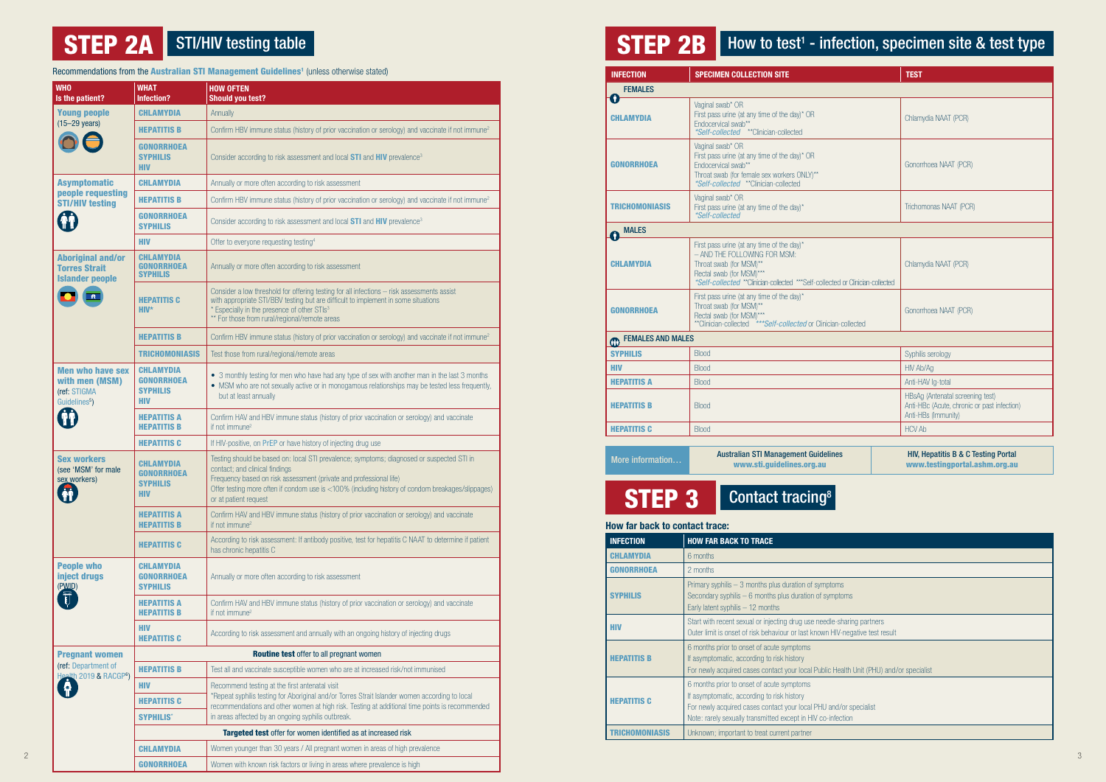## **STEP 2A** STI/HIV testing table

Recommendations from the [Australian STI Management Guidelines](http://www.sti.guidelines.org.au/)<sup>1</sup> (unless otherwise stated)

| ms                                  |
|-------------------------------------|
| ptoms                               |
|                                     |
| -sharing partners                   |
| IV-negative test result             |
|                                     |
|                                     |
| lealth Unit (PHU) and/or specialist |
|                                     |
|                                     |
| d/or specialist                     |
| ection                              |
|                                     |
|                                     |

| <b>WHO</b>                                                                                                                                          | <b>WHAT</b>                                              | <b>HOW OFTEN</b>                                                                                                                                                                                                                                                                             | <b>FEMALES</b>        |                                                                                                                                                                             |                                                                                                        |  |
|-----------------------------------------------------------------------------------------------------------------------------------------------------|----------------------------------------------------------|----------------------------------------------------------------------------------------------------------------------------------------------------------------------------------------------------------------------------------------------------------------------------------------------|-----------------------|-----------------------------------------------------------------------------------------------------------------------------------------------------------------------------|--------------------------------------------------------------------------------------------------------|--|
| Is the patient?                                                                                                                                     | Infection?                                               | <b>Should you test?</b>                                                                                                                                                                                                                                                                      |                       | Vaginal swab* OR                                                                                                                                                            |                                                                                                        |  |
| <b>Young people</b><br>$(15-29 \text{ years})$                                                                                                      | <b>CHLAMYDIA</b><br><b>HEPATITIS B</b>                   | Annually<br>Confirm HBV immune status (history of prior vaccination or serology) and vaccinate if not immune <sup>2</sup>                                                                                                                                                                    | <b>CHLAMYDIA</b>      | First pass urine (at any time of the day)* OR<br>Endocervical swab**                                                                                                        | Chlamydia NAAT (PCR)                                                                                   |  |
|                                                                                                                                                     | <b>GONORRHOEA</b><br><b>SYPHILIS</b>                     | Consider according to risk assessment and local STI and HIV prevalence <sup>3</sup>                                                                                                                                                                                                          |                       | <i>*Self-collected</i> ** Clinician-collected<br>Vaginal swab* OR<br>First pass urine (at any time of the day)* OR                                                          | Gonorrhoea NAAT (PCR)                                                                                  |  |
|                                                                                                                                                     | <b>HIV</b>                                               |                                                                                                                                                                                                                                                                                              | <b>GONORRHOEA</b>     | Endocervical swab**<br>Throat swab (for female sex workers ONLY)**                                                                                                          |                                                                                                        |  |
| <b>Asymptomatic</b><br>people requesting<br><b>STI/HIV testing</b><br><b>Gi</b>                                                                     | <b>CHLAMYDIA</b>                                         | Annually or more often according to risk assessment                                                                                                                                                                                                                                          |                       | <i>*Self-collected</i> **Clinician-collected                                                                                                                                |                                                                                                        |  |
|                                                                                                                                                     | <b>HEPATITIS B</b><br><b>GONORRHOEA</b>                  | Confirm HBV immune status (history of prior vaccination or serology) and vaccinate if not immune <sup>2</sup>                                                                                                                                                                                | <b>TRICHOMONIASIS</b> | Vaginal swab* OR<br>First pass urine (at any time of the day)*<br>*Self-collected                                                                                           | Trichomonas NAAT (PCR)                                                                                 |  |
|                                                                                                                                                     | <b>SYPHILIS</b>                                          | Consider according to risk assessment and local STI and HIV prevalence <sup>3</sup>                                                                                                                                                                                                          | MALES<br>$\mathbf 0$  |                                                                                                                                                                             |                                                                                                        |  |
|                                                                                                                                                     | <b>HIV</b>                                               | Offer to everyone requesting testing <sup>4</sup>                                                                                                                                                                                                                                            |                       | First pass urine (at any time of the day)*                                                                                                                                  |                                                                                                        |  |
| <b>Aboriginal and/or</b><br><b>Torres Strait</b><br><b>Islander people</b><br>$\begin{array}{ c c } \hline \hline \hline \hline \hline \end{array}$ | <b>CHLAMYDIA</b><br><b>GONORRHOEA</b><br><b>SYPHILIS</b> | Annually or more often according to risk assessment                                                                                                                                                                                                                                          | <b>CHLAMYDIA</b>      | - AND THE FOLLOWING FOR MSM:<br>Throat swab (for MSM)**<br>Rectal swab (for MSM)***<br>*Self-collected **Clinician-collected *** Self-collected or Clinician-collected      | Chlamydia NAAT (PCR)                                                                                   |  |
|                                                                                                                                                     | <b>HEPATITIS C</b><br>$HIV^*$                            | Consider a low threshold for offering testing for all infections - risk assessments assist<br>with appropriate STI/BBV testing but are difficult to implement in some situations<br>* Especially in the presence of other STIs <sup>3</sup><br>** For those from rural/regional/remote areas | <b>GONORRHOEA</b>     | First pass urine (at any time of the day)*<br>Throat swab (for MSM)**<br>Rectal swab (for MSM)***<br>**Clinician-collected *** <i>Self-collected</i> or Clinician-collected | Gonorrhoea NAAT (PCR)                                                                                  |  |
|                                                                                                                                                     | <b>HEPATITIS B</b>                                       | Confirm HBV immune status (history of prior vaccination or serology) and vaccinate if not immune <sup>2</sup>                                                                                                                                                                                |                       | <b>CHO</b> FEMALES AND MALES                                                                                                                                                |                                                                                                        |  |
|                                                                                                                                                     | <b>TRICHOMONIASIS</b>                                    | Test those from rural/regional/remote areas                                                                                                                                                                                                                                                  | <b>SYPHILIS</b>       | <b>Blood</b>                                                                                                                                                                | Syphilis serology                                                                                      |  |
| <b>Men who have sex</b>                                                                                                                             | <b>CHLAMYDIA</b>                                         |                                                                                                                                                                                                                                                                                              | <b>HIV</b>            | <b>Blood</b>                                                                                                                                                                | HIV Ab/Ag                                                                                              |  |
| with men (MSM)                                                                                                                                      | <b>GONORRHOEA</b>                                        | • 3 monthly testing for men who have had any type of sex with another man in the last 3 months<br>• MSM who are not sexually active or in monogamous relationships may be tested less frequently,                                                                                            | <b>HEPATITIS A</b>    | <b>Blood</b>                                                                                                                                                                | Anti-HAV Ig-total                                                                                      |  |
| (ref: STIGMA<br>Guidelines <sup>5</sup> )<br><b>Ti</b>                                                                                              | <b>SYPHILIS</b><br><b>HIV</b>                            | but at least annually                                                                                                                                                                                                                                                                        | <b>HEPATITIS B</b>    | <b>Blood</b>                                                                                                                                                                | HBsAg (Antenatal screening test)<br>Anti-HBc (Acute, chronic or past infection)<br>Anti-HBs (Immunity) |  |
|                                                                                                                                                     | <b>HEPATITIS A</b><br><b>HEPATITIS B</b>                 | Confirm HAV and HBV immune status (history of prior vaccination or serology) and vaccinate<br>if not immune <sup>2</sup>                                                                                                                                                                     | <b>HEPATITIS C</b>    | <b>Blood</b>                                                                                                                                                                | <b>HCV Ab</b>                                                                                          |  |
|                                                                                                                                                     | <b>HEPATITIS C</b>                                       | If HIV-positive, on PrEP or have history of injecting drug use                                                                                                                                                                                                                               |                       |                                                                                                                                                                             |                                                                                                        |  |
| <b>Sex workers</b><br>(see 'MSM' for male<br>sex workers)<br><b>Afi</b><br>W                                                                        | <b>CHLAMYDIA</b><br><b>GONORRHOEA</b>                    | Testing should be based on: local STI prevalence; symptoms; diagnosed or suspected STI in<br>contact; and clinical findings                                                                                                                                                                  | More information      | <b>Australian STI Management Guidelines</b><br>www.sti.guidelines.org.au                                                                                                    | HIV, Hepatitis B & C Testing Portal<br>www.testingportal.ashm.org.au                                   |  |
|                                                                                                                                                     | <b>SYPHILIS</b><br><b>HIV</b>                            | Frequency based on risk assessment (private and professional life)<br>Offer testing more often if condom use is <100% (including history of condom breakages/slippages)<br>or at patient request                                                                                             | <b>STEP 3</b>         | <b>Contact tracing<sup>8</sup></b>                                                                                                                                          |                                                                                                        |  |
|                                                                                                                                                     | <b>HEPATITIS A</b><br><b>HEPATITIS B</b>                 | Confirm HAV and HBV immune status (history of prior vaccination or serology) and vaccinate<br>if not immune <sup>2</sup>                                                                                                                                                                     |                       | How far back to contact trace:                                                                                                                                              |                                                                                                        |  |
|                                                                                                                                                     | <b>HEPATITIS C</b>                                       | According to risk assessment: If antibody positive, test for hepatitis C NAAT to determine if patient                                                                                                                                                                                        | <b>INFECTION</b>      | <b>HOW FAR BACK TO TRACE</b>                                                                                                                                                |                                                                                                        |  |
|                                                                                                                                                     |                                                          | has chronic hepatitis C                                                                                                                                                                                                                                                                      | <b>CHLAMYDIA</b>      | 6 months                                                                                                                                                                    |                                                                                                        |  |
| <b>People who</b><br>inject drugs                                                                                                                   | <b>CHLAMYDIA</b>                                         |                                                                                                                                                                                                                                                                                              | <b>GONORRHOEA</b>     | 2 months                                                                                                                                                                    |                                                                                                        |  |
|                                                                                                                                                     | <b>GONORRHOEA</b><br><b>SYPHILIS</b>                     | Annually or more often according to risk assessment                                                                                                                                                                                                                                          |                       | Primary syphilis - 3 months plus duration of symptoms                                                                                                                       |                                                                                                        |  |
| (P <sup>MID</sup>                                                                                                                                   | <b>HEPATITIS A</b><br><b>HEPATITIS B</b>                 | Confirm HAV and HBV immune status (history of prior vaccination or serology) and vaccinate<br>if not immune <sup>2</sup>                                                                                                                                                                     | <b>SYPHILIS</b>       | Secondary syphilis - 6 months plus duration of symptoms<br>Early latent syphilis - 12 months                                                                                |                                                                                                        |  |
|                                                                                                                                                     | <b>HIV</b><br><b>HEPATITIS C</b>                         | According to risk assessment and annually with an ongoing history of injecting drugs                                                                                                                                                                                                         | <b>HIV</b>            | Start with recent sexual or injecting drug use needle-sharing partners<br>Outer limit is onset of risk behaviour or last known HIV-negative test result                     |                                                                                                        |  |
|                                                                                                                                                     |                                                          | Routine test offer to all pregnant women                                                                                                                                                                                                                                                     |                       | 6 months prior to onset of acute symptoms                                                                                                                                   |                                                                                                        |  |
| <b>Pregnant women</b><br>(ref: Department of                                                                                                        | <b>HEPATITIS B</b>                                       | Test all and vaccinate susceptible women who are at increased risk/not immunised                                                                                                                                                                                                             | <b>HEPATITIS B</b>    | If asymptomatic, according to risk history<br>For newly acquired cases contact your local Public Health Unit (PHU) and/or specialist                                        |                                                                                                        |  |
| Health 2019 & RACGP <sup>6</sup> )                                                                                                                  | <b>HIV</b>                                               | Recommend testing at the first antenatal visit                                                                                                                                                                                                                                               |                       | 6 months prior to onset of acute symptoms                                                                                                                                   |                                                                                                        |  |
| <b>. P</b>                                                                                                                                          | <b>HEPATITIS C</b>                                       | *Repeat syphilis testing for Aboriginal and/or Torres Strait Islander women according to local                                                                                                                                                                                               | <b>HEPATITIS C</b>    | If asymptomatic, according to risk history                                                                                                                                  |                                                                                                        |  |
|                                                                                                                                                     |                                                          | recommendations and other women at high risk. Testing at additional time points is recommended                                                                                                                                                                                               |                       | For newly acquired cases contact your local PHU and/or specialist                                                                                                           |                                                                                                        |  |
|                                                                                                                                                     | <b>SYPHILIS*</b>                                         | in areas affected by an ongoing syphilis outbreak.                                                                                                                                                                                                                                           |                       | Note: rarely sexually transmitted except in HIV co-infection                                                                                                                |                                                                                                        |  |
|                                                                                                                                                     | <b>CHLAMYDIA</b>                                         | Targeted test offer for women identified as at increased risk<br>Women younger than 30 years / All pregnant women in areas of high prevalence                                                                                                                                                | <b>TRICHOMONIASIS</b> | Unknown; important to treat current partner                                                                                                                                 |                                                                                                        |  |

STEP 2B | How to test<sup>1</sup> - infection, specimen site & test type

| <b>INFECTION</b>                                                                             | <b>SPECIMEN COLLECTION SITE</b>                                                                                                                                                                                      | <b>TEST</b>                                                                                            |  |  |  |  |
|----------------------------------------------------------------------------------------------|----------------------------------------------------------------------------------------------------------------------------------------------------------------------------------------------------------------------|--------------------------------------------------------------------------------------------------------|--|--|--|--|
| <b>FEMALES</b>                                                                               |                                                                                                                                                                                                                      |                                                                                                        |  |  |  |  |
| $\bullet$<br><b>CHLAMYDIA</b>                                                                | Vaginal swab* OR<br>First pass urine (at any time of the day)* OR<br>Fndocervical swab**<br><i>*Self-collected</i> ** Clinician-collected                                                                            | Chlamydia NAAT (PCR)                                                                                   |  |  |  |  |
| <b>GONORRHOEA</b>                                                                            | Vaginal swab* OR<br>First pass urine (at any time of the day)* OR<br>Endocervical swab**<br>Throat swab (for female sex workers ONLY)**<br><i>*Self-collected</i> **Clinician-collected                              | Gonorrhoea NAAT (PCR)                                                                                  |  |  |  |  |
| TRICHOMONIASIS                                                                               | Vaginal swab* OR<br>First pass urine (at any time of the day)*<br>*Self-collected                                                                                                                                    | Trichomonas NAAT (PCR)                                                                                 |  |  |  |  |
| <b>MALES</b><br>Ŧ                                                                            |                                                                                                                                                                                                                      |                                                                                                        |  |  |  |  |
| <b>CHLAMYDIA</b>                                                                             | First pass urine (at any time of the day)*<br>- AND THE FOLLOWING FOR MSM:<br>Throat swab (for MSM)**<br>Rectal swab (for MSM)***<br>*Self-collected **Clinician-collected *** Self-collected or Clinician-collected | Chlamydia NAAT (PCR)                                                                                   |  |  |  |  |
| <b>GONORRHOEA</b>                                                                            | First pass urine (at any time of the day)*<br>Throat swab (for MSM)**<br>Rectal swab (for MSM)***<br>**Clinician-collected ****Self-collected or Clinician-collected                                                 | Gonorrhoea NAAT (PCR)                                                                                  |  |  |  |  |
| <b>FEMALES AND MALES</b><br>$^{\circ}$                                                       |                                                                                                                                                                                                                      |                                                                                                        |  |  |  |  |
| <b>SYPHILIS</b>                                                                              | <b>Blood</b>                                                                                                                                                                                                         | Syphilis serology                                                                                      |  |  |  |  |
| <b>HIV</b>                                                                                   | <b>Blood</b>                                                                                                                                                                                                         | HIV Ab/Ag                                                                                              |  |  |  |  |
| <b>HEPATITIS A</b>                                                                           | <b>Blood</b>                                                                                                                                                                                                         | Anti-HAV Ig-total                                                                                      |  |  |  |  |
| <b>HEPATITIS B</b>                                                                           | <b>Blood</b>                                                                                                                                                                                                         | HBsAg (Antenatal screening test)<br>Anti-HBc (Acute, chronic or past infection)<br>Anti-HBs (Immunity) |  |  |  |  |
| <b>HEPATITIS C</b>                                                                           | <b>Blood</b>                                                                                                                                                                                                         | <b>HCV Ab</b>                                                                                          |  |  |  |  |
| <b>Australian STI Management Guidelines</b><br>More information<br>www.sti.guidelines.org.au |                                                                                                                                                                                                                      | <b>HIV, Hepatitis B &amp; C Testing Portal</b><br>www.testingportal.ashm.org.au                        |  |  |  |  |
| STEP <sub>3</sub><br>Contact tracing <sup>8</sup>                                            |                                                                                                                                                                                                                      |                                                                                                        |  |  |  |  |